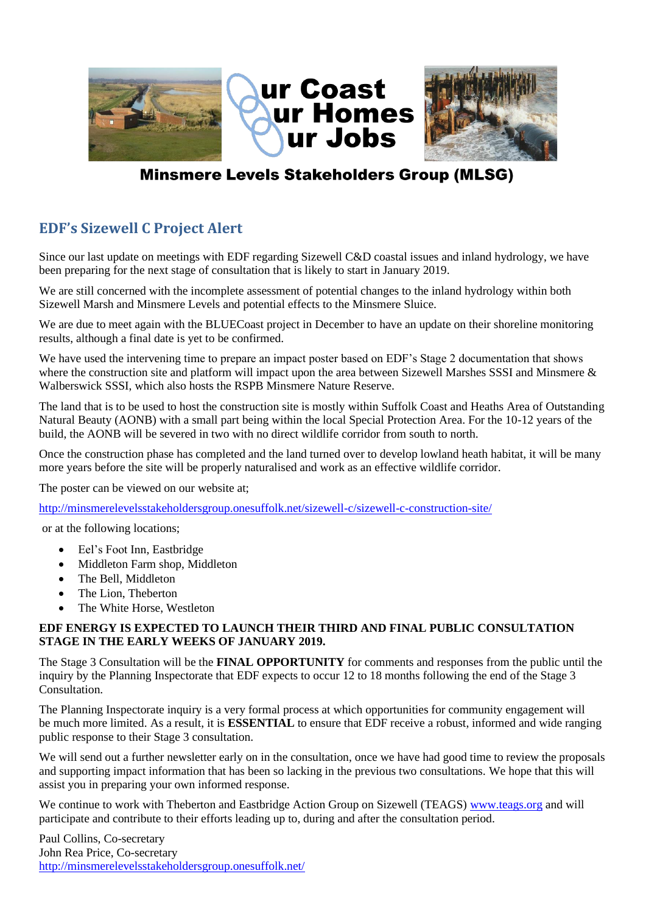

## **Minsmere Levels Stakeholders Group (MLSG)**

## **EDF's Sizewell C Project Alert**

Since our last update on meetings with EDF regarding Sizewell C&D coastal issues and inland hydrology, we have been preparing for the next stage of consultation that is likely to start in January 2019.

We are still concerned with the incomplete assessment of potential changes to the inland hydrology within both Sizewell Marsh and Minsmere Levels and potential effects to the Minsmere Sluice.

We are due to meet again with the BLUECoast project in December to have an update on their shoreline monitoring results, although a final date is yet to be confirmed.

We have used the intervening time to prepare an impact poster based on EDF's Stage 2 documentation that shows where the construction site and platform will impact upon the area between Sizewell Marshes SSSI and Minsmere  $\&$ Walberswick SSSI, which also hosts the RSPB Minsmere Nature Reserve.

The land that is to be used to host the construction site is mostly within Suffolk Coast and Heaths Area of Outstanding Natural Beauty (AONB) with a small part being within the local Special Protection Area. For the 10-12 years of the build, the AONB will be severed in two with no direct wildlife corridor from south to north.

Once the construction phase has completed and the land turned over to develop lowland heath habitat, it will be many more years before the site will be properly naturalised and work as an effective wildlife corridor.

The poster can be viewed on our website at;

<http://minsmerelevelsstakeholdersgroup.onesuffolk.net/sizewell-c/sizewell-c-construction-site/>

or at the following locations;

- Eel's Foot Inn, Eastbridge
- Middleton Farm shop, Middleton
- The Bell, Middleton
- The Lion, Theberton
- The White Horse, Westleton

## **EDF ENERGY IS EXPECTED TO LAUNCH THEIR THIRD AND FINAL PUBLIC CONSULTATION STAGE IN THE EARLY WEEKS OF JANUARY 2019.**

The Stage 3 Consultation will be the **FINAL OPPORTUNITY** for comments and responses from the public until the inquiry by the Planning Inspectorate that EDF expects to occur 12 to 18 months following the end of the Stage 3 Consultation.

The Planning Inspectorate inquiry is a very formal process at which opportunities for community engagement will be much more limited. As a result, it is **ESSENTIAL** to ensure that EDF receive a robust, informed and wide ranging public response to their Stage 3 consultation.

We will send out a further newsletter early on in the consultation, once we have had good time to review the proposals and supporting impact information that has been so lacking in the previous two consultations. We hope that this will assist you in preparing your own informed response.

We continue to work with Theberton and Eastbridge Action Group on Sizewell (TEAGS) [www.teags.org](http://www.teags.org/) and will participate and contribute to their efforts leading up to, during and after the consultation period.

Paul Collins, Co-secretary John Rea Price, Co-secretary <http://minsmerelevelsstakeholdersgroup.onesuffolk.net/>